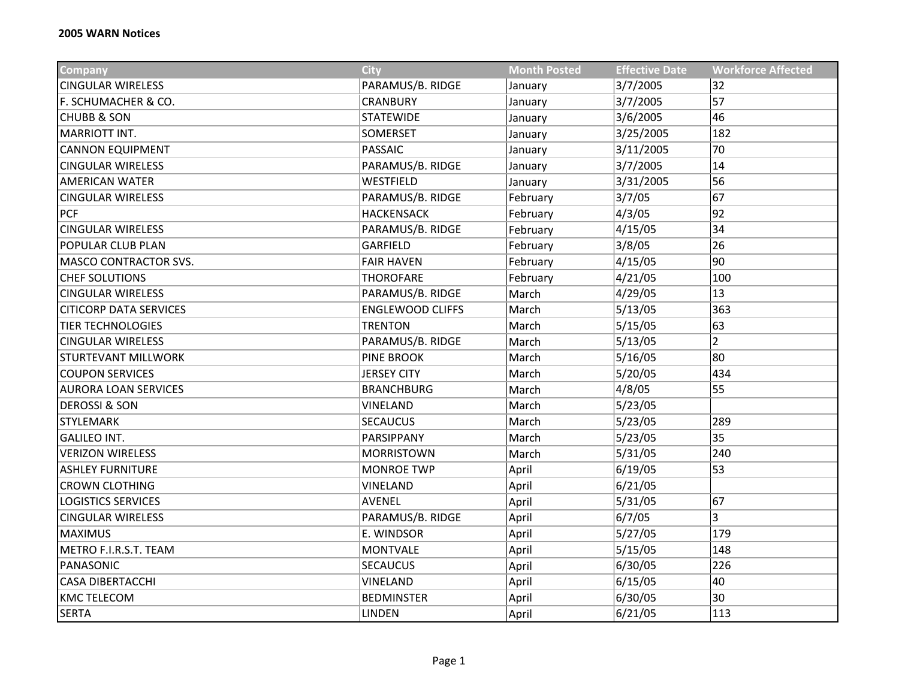| <b>Company</b>                | <b>City</b>             | <b>Month Posted</b> | <b>Effective Date</b> | <b>Workforce Affected</b> |
|-------------------------------|-------------------------|---------------------|-----------------------|---------------------------|
| <b>CINGULAR WIRELESS</b>      | PARAMUS/B. RIDGE        | January             | 3/7/2005              | 32                        |
| F. SCHUMACHER & CO.           | <b>CRANBURY</b>         | January             | 3/7/2005              | 57                        |
| <b>CHUBB &amp; SON</b>        | <b>STATEWIDE</b>        | January             | 3/6/2005              | 46                        |
| MARRIOTT INT.                 | SOMERSET                | January             | 3/25/2005             | 182                       |
| <b>CANNON EQUIPMENT</b>       | <b>PASSAIC</b>          | January             | 3/11/2005             | 70                        |
| <b>CINGULAR WIRELESS</b>      | PARAMUS/B. RIDGE        | January             | 3/7/2005              | 14                        |
| <b>AMERICAN WATER</b>         | WESTFIELD               | January             | 3/31/2005             | 56                        |
| <b>CINGULAR WIRELESS</b>      | PARAMUS/B. RIDGE        | February            | 3/7/05                | 67                        |
| <b>PCF</b>                    | <b>HACKENSACK</b>       | February            | 4/3/05                | 92                        |
| <b>CINGULAR WIRELESS</b>      | PARAMUS/B. RIDGE        | February            | 4/15/05               | 34                        |
| <b>POPULAR CLUB PLAN</b>      | <b>GARFIELD</b>         | February            | 3/8/05                | 26                        |
| MASCO CONTRACTOR SVS.         | <b>FAIR HAVEN</b>       | February            | 4/15/05               | 90                        |
| <b>CHEF SOLUTIONS</b>         | <b>THOROFARE</b>        | February            | 4/21/05               | 100                       |
| <b>CINGULAR WIRELESS</b>      | PARAMUS/B. RIDGE        | March               | 4/29/05               | 13                        |
| <b>CITICORP DATA SERVICES</b> | <b>ENGLEWOOD CLIFFS</b> | March               | 5/13/05               | 363                       |
| <b>TIER TECHNOLOGIES</b>      | <b>TRENTON</b>          | March               | 5/15/05               | 63                        |
| <b>CINGULAR WIRELESS</b>      | PARAMUS/B. RIDGE        | March               | 5/13/05               | $\overline{2}$            |
| <b>STURTEVANT MILLWORK</b>    | <b>PINE BROOK</b>       | March               | 5/16/05               | 80                        |
| <b>COUPON SERVICES</b>        | <b>JERSEY CITY</b>      | March               | 5/20/05               | 434                       |
| <b>AURORA LOAN SERVICES</b>   | <b>BRANCHBURG</b>       | March               | 4/8/05                | 55                        |
| <b>DEROSSI &amp; SON</b>      | VINELAND                | March               | 5/23/05               |                           |
| <b>STYLEMARK</b>              | <b>SECAUCUS</b>         | March               | 5/23/05               | 289                       |
| <b>GALILEO INT.</b>           | PARSIPPANY              | March               | 5/23/05               | 35                        |
| <b>VERIZON WIRELESS</b>       | <b>MORRISTOWN</b>       | March               | 5/31/05               | 240                       |
| <b>ASHLEY FURNITURE</b>       | <b>MONROE TWP</b>       | April               | 6/19/05               | 53                        |
| <b>CROWN CLOTHING</b>         | <b>VINELAND</b>         | April               | 6/21/05               |                           |
| <b>LOGISTICS SERVICES</b>     | AVENEL                  | April               | 5/31/05               | 67                        |
| <b>CINGULAR WIRELESS</b>      | PARAMUS/B. RIDGE        | April               | 6/7/05                | 3                         |
| <b>MAXIMUS</b>                | E. WINDSOR              | April               | 5/27/05               | 179                       |
| METRO F.I.R.S.T. TEAM         | <b>MONTVALE</b>         | April               | 5/15/05               | 148                       |
| PANASONIC                     | <b>SECAUCUS</b>         | April               | 6/30/05               | 226                       |
| <b>CASA DIBERTACCHI</b>       | VINELAND                | April               | 6/15/05               | 40                        |
| <b>KMC TELECOM</b>            | <b>BEDMINSTER</b>       | April               | 6/30/05               | 30                        |
| <b>SERTA</b>                  | LINDEN                  | April               | 6/21/05               | 113                       |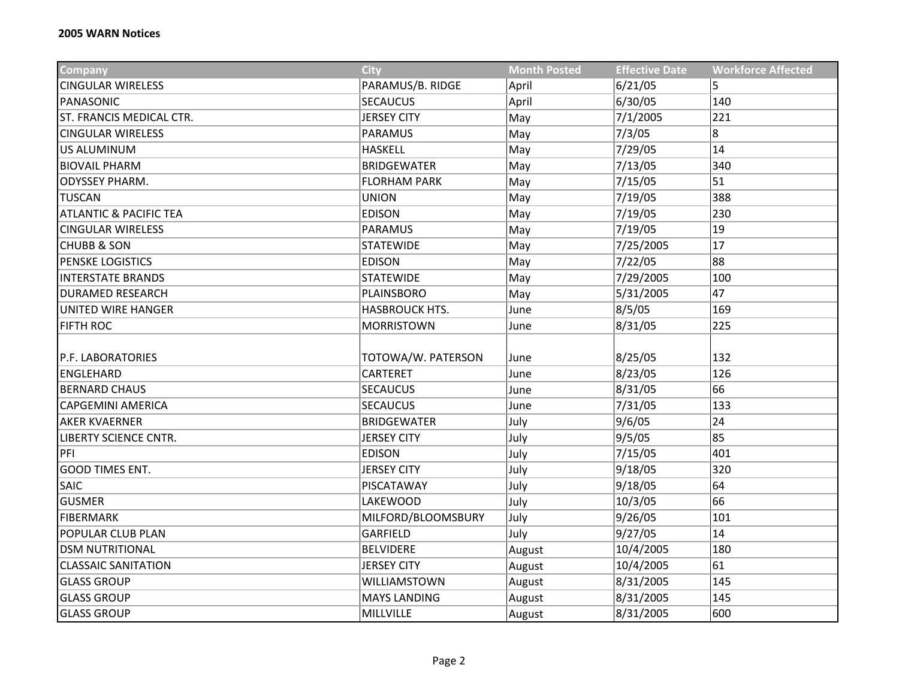| Company                           | <b>City</b>           | <b>Month Posted</b> | <b>Effective Date</b> | <b>Workforce Affected</b> |
|-----------------------------------|-----------------------|---------------------|-----------------------|---------------------------|
| <b>CINGULAR WIRELESS</b>          | PARAMUS/B. RIDGE      | April               | 6/21/05               | 5                         |
| PANASONIC                         | <b>SECAUCUS</b>       | April               | 6/30/05               | 140                       |
| ST. FRANCIS MEDICAL CTR.          | <b>JERSEY CITY</b>    | May                 | 7/1/2005              | 221                       |
| <b>CINGULAR WIRELESS</b>          | <b>PARAMUS</b>        | May                 | 7/3/05                | 8                         |
| US ALUMINUM                       | <b>HASKELL</b>        | May                 | 7/29/05               | 14                        |
| <b>BIOVAIL PHARM</b>              | <b>BRIDGEWATER</b>    | May                 | 7/13/05               | 340                       |
| <b>ODYSSEY PHARM.</b>             | <b>FLORHAM PARK</b>   | May                 | 7/15/05               | 51                        |
| <b>TUSCAN</b>                     | <b>UNION</b>          | May                 | 7/19/05               | 388                       |
| <b>ATLANTIC &amp; PACIFIC TEA</b> | <b>EDISON</b>         | May                 | 7/19/05               | 230                       |
| <b>CINGULAR WIRELESS</b>          | <b>PARAMUS</b>        | May                 | 7/19/05               | 19                        |
| <b>CHUBB &amp; SON</b>            | <b>STATEWIDE</b>      | May                 | 7/25/2005             | 17                        |
| PENSKE LOGISTICS                  | <b>EDISON</b>         | May                 | 7/22/05               | 88                        |
| <b>INTERSTATE BRANDS</b>          | <b>STATEWIDE</b>      | May                 | 7/29/2005             | 100                       |
| <b>DURAMED RESEARCH</b>           | <b>PLAINSBORO</b>     | May                 | 5/31/2005             | 47                        |
| UNITED WIRE HANGER                | <b>HASBROUCK HTS.</b> | June                | 8/5/05                | 169                       |
| <b>FIFTH ROC</b>                  | <b>MORRISTOWN</b>     | June                | 8/31/05               | 225                       |
|                                   |                       |                     |                       |                           |
| P.F. LABORATORIES                 | TOTOWA/W. PATERSON    | June                | 8/25/05               | 132                       |
| ENGLEHARD                         | CARTERET              | June                | 8/23/05               | 126                       |
| <b>BERNARD CHAUS</b>              | <b>SECAUCUS</b>       | June                | 8/31/05               | 66                        |
| <b>CAPGEMINI AMERICA</b>          | <b>SECAUCUS</b>       | June                | 7/31/05               | 133                       |
| <b>AKER KVAERNER</b>              | <b>BRIDGEWATER</b>    | July                | 9/6/05                | 24                        |
| <b>LIBERTY SCIENCE CNTR.</b>      | <b>JERSEY CITY</b>    | July                | 9/5/05                | 85                        |
| PFI                               | <b>EDISON</b>         | July                | 7/15/05               | 401                       |
| <b>GOOD TIMES ENT.</b>            | <b>JERSEY CITY</b>    | July                | 9/18/05               | 320                       |
| <b>SAIC</b>                       | PISCATAWAY            | July                | 9/18/05               | 64                        |
| <b>GUSMER</b>                     | <b>LAKEWOOD</b>       | July                | 10/3/05               | 66                        |
| <b>FIBERMARK</b>                  | MILFORD/BLOOMSBURY    | July                | 9/26/05               | 101                       |
| POPULAR CLUB PLAN                 | GARFIELD              | July                | 9/27/05               | 14                        |
| <b>DSM NUTRITIONAL</b>            | <b>BELVIDERE</b>      | August              | 10/4/2005             | 180                       |
| <b>CLASSAIC SANITATION</b>        | <b>JERSEY CITY</b>    | August              | 10/4/2005             | 61                        |
| <b>GLASS GROUP</b>                | WILLIAMSTOWN          | August              | 8/31/2005             | 145                       |
| <b>GLASS GROUP</b>                | <b>MAYS LANDING</b>   | August              | 8/31/2005             | 145                       |
| <b>GLASS GROUP</b>                | MILLVILLE             | August              | 8/31/2005             | 600                       |